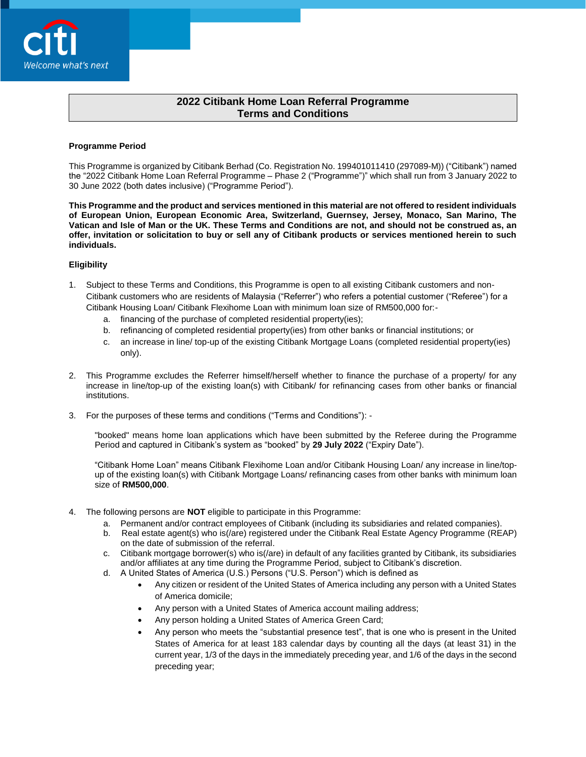

# **2022 Citibank Home Loan Referral Programme Terms and Conditions**

#### **Programme Period**

This Programme is organized by Citibank Berhad (Co. Registration No. 199401011410 (297089-M)) ("Citibank") named the "2022 Citibank Home Loan Referral Programme – Phase 2 ("Programme")" which shall run from 3 January 2022 to 30 June 2022 (both dates inclusive) ("Programme Period").

**This Programme and the product and services mentioned in this material are not offered to resident individuals of European Union, European Economic Area, Switzerland, Guernsey, Jersey, Monaco, San Marino, The Vatican and Isle of Man or the UK. These Terms and Conditions are not, and should not be construed as, an offer, invitation or solicitation to buy or sell any of Citibank products or services mentioned herein to such individuals.**

### **Eligibility**

- 1. Subject to these Terms and Conditions, this Programme is open to all existing Citibank customers and non-Citibank customers who are residents of Malaysia ("Referrer") who refers a potential customer ("Referee") for a Citibank Housing Loan/ Citibank Flexihome Loan with minimum loan size of RM500,000 for:
	- a. financing of the purchase of completed residential property(ies);
	- b. refinancing of completed residential property(ies) from other banks or financial institutions; or
	- c. an increase in line/ top-up of the existing Citibank Mortgage Loans (completed residential property(ies) only).
- 2. This Programme excludes the Referrer himself/herself whether to finance the purchase of a property/ for any increase in line/top-up of the existing loan(s) with Citibank/ for refinancing cases from other banks or financial institutions.
- 3. For the purposes of these terms and conditions ("Terms and Conditions"): -

"booked" means home loan applications which have been submitted by the Referee during the Programme Period and captured in Citibank's system as "booked" by **29 July 2022** ("Expiry Date").

"Citibank Home Loan" means Citibank Flexihome Loan and/or Citibank Housing Loan/ any increase in line/topup of the existing loan(s) with Citibank Mortgage Loans/ refinancing cases from other banks with minimum loan size of **RM500,000**.

- 4. The following persons are **NOT** eligible to participate in this Programme:
	- a. Permanent and/or contract employees of Citibank (including its subsidiaries and related companies).
	- b. Real estate agent(s) who is(/are) registered under the Citibank Real Estate Agency Programme (REAP) on the date of submission of the referral.
	- c. Citibank mortgage borrower(s) who is(/are) in default of any facilities granted by Citibank, its subsidiaries and/or affiliates at any time during the Programme Period, subject to Citibank's discretion.
	- d. A United States of America (U.S.) Persons ("U.S. Person") which is defined as
		- Any citizen or resident of the United States of America including any person with a United States of America domicile;
		- Any person with a United States of America account mailing address;
		- Any person holding a United States of America Green Card;
		- Any person who meets the "substantial presence test", that is one who is present in the United States of America for at least 183 calendar days by counting all the days (at least 31) in the current year, 1/3 of the days in the immediately preceding year, and 1/6 of the days in the second preceding year;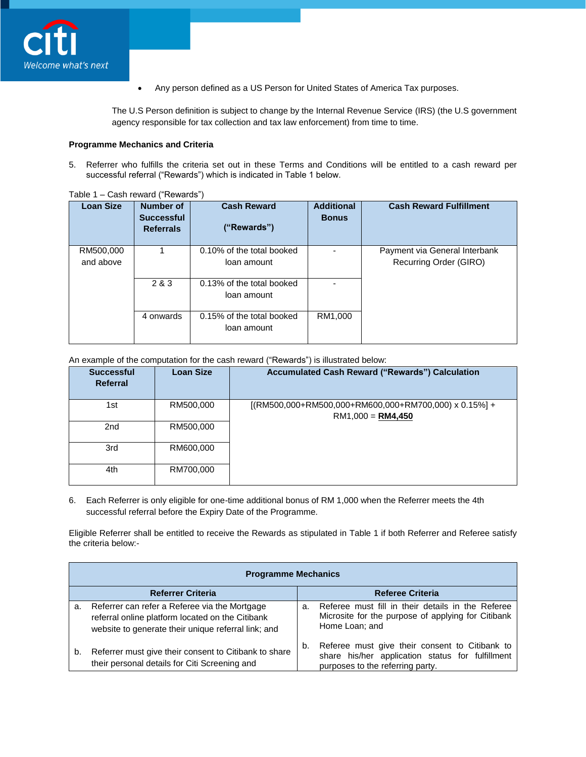

Any person defined as a US Person for United States of America Tax purposes.

The U.S Person definition is subject to change by the Internal Revenue Service (IRS) (the U.S government agency responsible for tax collection and tax law enforcement) from time to time.

### **Programme Mechanics and Criteria**

5. Referrer who fulfills the criteria set out in these Terms and Conditions will be entitled to a cash reward per successful referral ("Rewards") which is indicated in Table 1 below.

| <b>Loan Size</b>       | <b>Number of</b><br><b>Successful</b><br><b>Referrals</b> | <b>Cash Reward</b><br>("Rewards")        | <b>Additional</b><br><b>Bonus</b> | <b>Cash Reward Fulfillment</b>                          |
|------------------------|-----------------------------------------------------------|------------------------------------------|-----------------------------------|---------------------------------------------------------|
| RM500,000<br>and above |                                                           | 0.10% of the total booked<br>loan amount |                                   | Payment via General Interbank<br>Recurring Order (GIRO) |
|                        | 2 & 3                                                     | 0.13% of the total booked<br>loan amount |                                   |                                                         |
|                        | 4 onwards                                                 | 0.15% of the total booked<br>loan amount | RM1,000                           |                                                         |

Table 1 – Cash reward ("Rewards")

An example of the computation for the cash reward ("Rewards") is illustrated below:

| <b>Successful</b><br>Referral | <b>Loan Size</b> | <b>Accumulated Cash Reward ("Rewards") Calculation</b>                              |
|-------------------------------|------------------|-------------------------------------------------------------------------------------|
| 1st                           | RM500,000        | $[(RM500,000+RM500,000+RM600,000+RM700,000) \times 0.15\%]+$<br>$RM1,000 = RM4,450$ |
| 2nd                           | RM500,000        |                                                                                     |
| 3rd                           | RM600,000        |                                                                                     |
| 4th                           | RM700,000        |                                                                                     |

6. Each Referrer is only eligible for one-time additional bonus of RM 1,000 when the Referrer meets the 4th successful referral before the Expiry Date of the Programme.

Eligible Referrer shall be entitled to receive the Rewards as stipulated in Table 1 if both Referrer and Referee satisfy the criteria below:-

|    | <b>Programme Mechanics</b>                                                                                                                               |    |                                                                                                                                        |  |  |  |
|----|----------------------------------------------------------------------------------------------------------------------------------------------------------|----|----------------------------------------------------------------------------------------------------------------------------------------|--|--|--|
|    | <b>Referrer Criteria</b>                                                                                                                                 |    | <b>Referee Criteria</b>                                                                                                                |  |  |  |
| a. | Referrer can refer a Referee via the Mortgage<br>referral online platform located on the Citibank<br>website to generate their unique referral link; and | а. | Referee must fill in their details in the Referee<br>Microsite for the purpose of applying for Citibank<br>Home Loan; and              |  |  |  |
| b. | Referrer must give their consent to Citibank to share<br>their personal details for Citi Screening and                                                   | b. | Referee must give their consent to Citibank to<br>share his/her application status for fulfillment<br>purposes to the referring party. |  |  |  |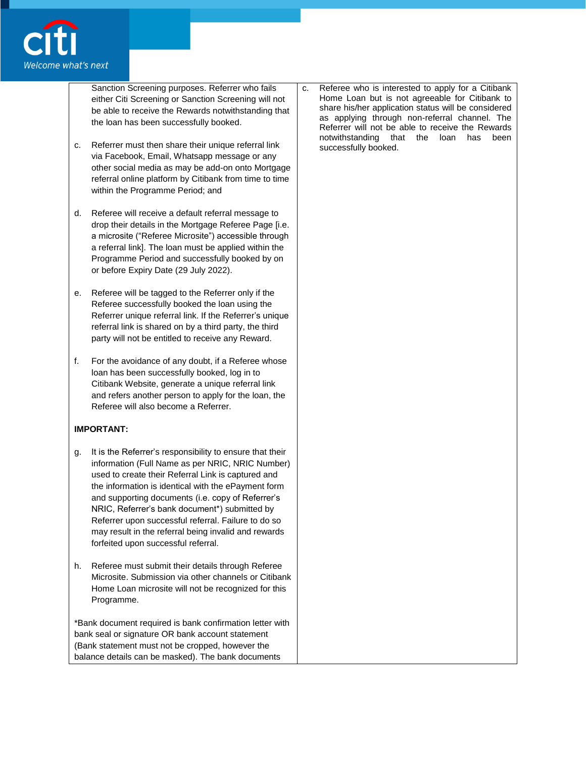

Sanction Screening purposes. Referrer who fails either Citi Screening or Sanction Screening will not be able to receive the Rewards notwithstanding that the loan has been successfully booked.

- c. Referrer must then share their unique referral link via Facebook, Email, Whatsapp message or any other social media as may be add-on onto Mortgage referral online platform by Citibank from time to time within the Programme Period; and
- d. Referee will receive a default referral message to drop their details in the Mortgage Referee Page [i.e. a microsite ("Referee Microsite") accessible through a referral link]. The loan must be applied within the Programme Period and successfully booked by on or before Expiry Date (29 July 2022).
- e. Referee will be tagged to the Referrer only if the Referee successfully booked the loan using the Referrer unique referral link. If the Referrer's unique referral link is shared on by a third party, the third party will not be entitled to receive any Reward.
- f. For the avoidance of any doubt, if a Referee whose loan has been successfully booked, log in to Citibank Website, generate a unique referral link and refers another person to apply for the loan, the Referee will also become a Referrer.

# **IMPORTANT:**

- g. It is the Referrer's responsibility to ensure that their information (Full Name as per NRIC, NRIC Number) used to create their Referral Link is captured and the information is identical with the ePayment form and supporting documents (i.e. copy of Referrer's NRIC, Referrer's bank document\*) submitted by Referrer upon successful referral. Failure to do so may result in the referral being invalid and rewards forfeited upon successful referral.
- h. Referee must submit their details through Referee Microsite. Submission via other channels or Citibank Home Loan microsite will not be recognized for this Programme.

\*Bank document required is bank confirmation letter with bank seal or signature OR bank account statement (Bank statement must not be cropped, however the balance details can be masked). The bank documents

c. Referee who is interested to apply for a Citibank Home Loan but is not agreeable for Citibank to share his/her application status will be considered as applying through non-referral channel. The Referrer will not be able to receive the Rewards notwithstanding that the loan has been successfully booked.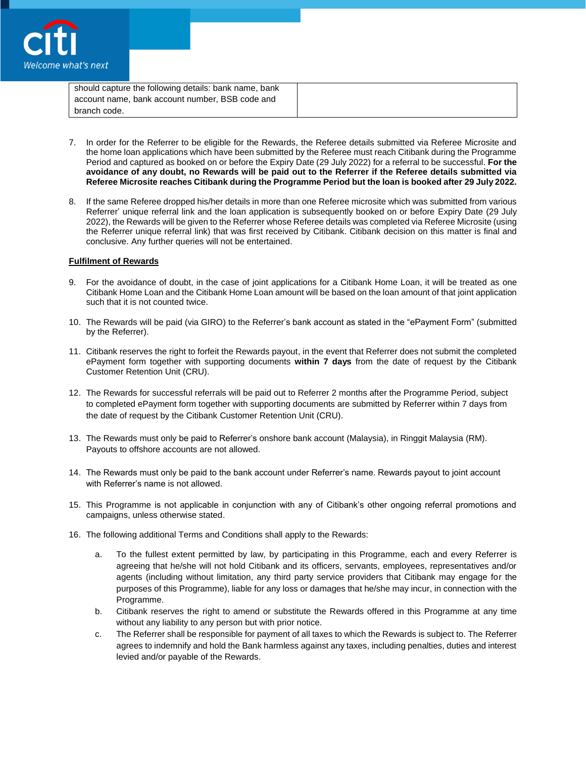

| should capture the following details: bank name, bank |  |
|-------------------------------------------------------|--|
| account name, bank account number, BSB code and       |  |
| branch code.                                          |  |

- 7. In order for the Referrer to be eligible for the Rewards, the Referee details submitted via Referee Microsite and the home loan applications which have been submitted by the Referee must reach Citibank during the Programme Period and captured as booked on or before the Expiry Date (29 July 2022) for a referral to be successful. **For the avoidance of any doubt, no Rewards will be paid out to the Referrer if the Referee details submitted via Referee Microsite reaches Citibank during the Programme Period but the loan is booked after 29 July 2022.**
- 8. If the same Referee dropped his/her details in more than one Referee microsite which was submitted from various Referrer' unique referral link and the loan application is subsequently booked on or before Expiry Date (29 July 2022), the Rewards will be given to the Referrer whose Referee details was completed via Referee Microsite (using the Referrer unique referral link) that was first received by Citibank. Citibank decision on this matter is final and conclusive. Any further queries will not be entertained.

#### **Fulfilment of Rewards**

- 9. For the avoidance of doubt, in the case of joint applications for a Citibank Home Loan, it will be treated as one Citibank Home Loan and the Citibank Home Loan amount will be based on the loan amount of that joint application such that it is not counted twice.
- 10. The Rewards will be paid (via GIRO) to the Referrer's bank account as stated in the "ePayment Form" (submitted by the Referrer).
- 11. Citibank reserves the right to forfeit the Rewards payout, in the event that Referrer does not submit the completed ePayment form together with supporting documents **within 7 days** from the date of request by the Citibank Customer Retention Unit (CRU).
- 12. The Rewards for successful referrals will be paid out to Referrer 2 months after the Programme Period, subject to completed ePayment form together with supporting documents are submitted by Referrer within 7 days from the date of request by the Citibank Customer Retention Unit (CRU).
- 13. The Rewards must only be paid to Referrer's onshore bank account (Malaysia), in Ringgit Malaysia (RM). Payouts to offshore accounts are not allowed.
- 14. The Rewards must only be paid to the bank account under Referrer's name. Rewards payout to joint account with Referrer's name is not allowed.
- 15. This Programme is not applicable in conjunction with any of Citibank's other ongoing referral promotions and campaigns, unless otherwise stated.
- 16. The following additional Terms and Conditions shall apply to the Rewards:
	- a. To the fullest extent permitted by law, by participating in this Programme, each and every Referrer is agreeing that he/she will not hold Citibank and its officers, servants, employees, representatives and/or agents (including without limitation, any third party service providers that Citibank may engage for the purposes of this Programme), liable for any loss or damages that he/she may incur, in connection with the Programme.
	- b. Citibank reserves the right to amend or substitute the Rewards offered in this Programme at any time without any liability to any person but with prior notice.
	- c. The Referrer shall be responsible for payment of all taxes to which the Rewards is subject to. The Referrer agrees to indemnify and hold the Bank harmless against any taxes, including penalties, duties and interest levied and/or payable of the Rewards.